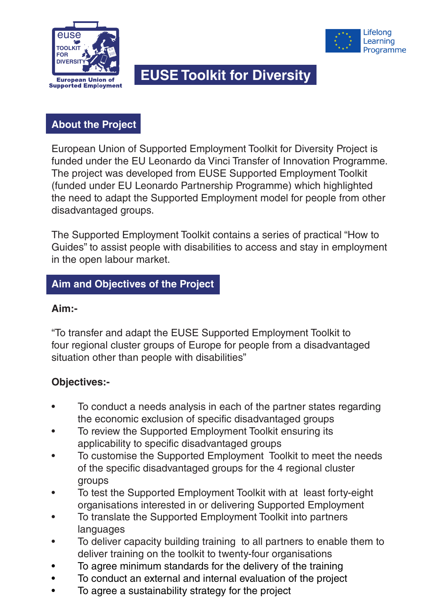



# **EUSE Toolkit for Diversity**

## **About the Project**

European Union of Supported Employment Toolkit for Diversity Project is funded under the EU Leonardo da Vinci Transfer of Innovation Programme. The project was developed from EUSE Supported Employment Toolkit (funded under EU Leonardo Partnership Programme) which highlighted the need to adapt the Supported Employment model for people from other disadvantaged groups.

The Supported Employment Toolkit contains a series of practical "How to Guides" to assist people with disabilities to access and stay in employment in the open labour market.

## **Aim and Objectives of the Project**

#### **Aim:-**

"To transfer and adapt the EUSE Supported Employment Toolkit to four regional cluster groups of Europe for people from a disadvantaged situation other than people with disabilities"

### **Objectives:-**

- To conduct a needs analysis in each of the partner states regarding the economic exclusion of specific disadvantaged groups
- To review the Supported Employment Toolkit ensuring its applicability to specific disadvantaged groups
- To customise the Supported Employment Toolkit to meet the needs of the specific disadvantaged groups for the 4 regional cluster groups
- To test the Supported Employment Toolkit with at least forty-eight organisations interested in or delivering Supported Employment
- To translate the Supported Employment Toolkit into partners languages
- To deliver capacity building training to all partners to enable them to deliver training on the toolkit to twenty-four organisations
- To agree minimum standards for the delivery of the training
- To conduct an external and internal evaluation of the project
- To agree a sustainability strategy for the project